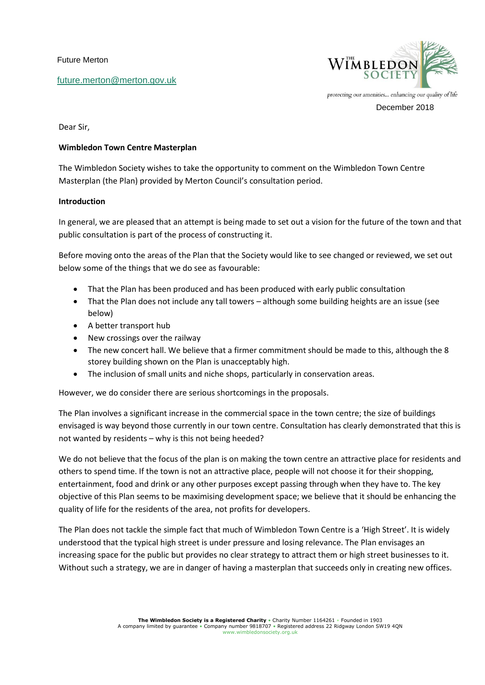Future Merton

[future.merton@merton.gov.uk](mailto:future.merton@merton.gov.uk)



December 2018

Dear Sir,

# **Wimbledon Town Centre Masterplan**

The Wimbledon Society wishes to take the opportunity to comment on the Wimbledon Town Centre Masterplan (the Plan) provided by Merton Council's consultation period.

# **Introduction**

In general, we are pleased that an attempt is being made to set out a vision for the future of the town and that public consultation is part of the process of constructing it.

Before moving onto the areas of the Plan that the Society would like to see changed or reviewed, we set out below some of the things that we do see as favourable:

- That the Plan has been produced and has been produced with early public consultation
- That the Plan does not include any tall towers although some building heights are an issue (see below)
- A better transport hub
- New crossings over the railway
- The new concert hall. We believe that a firmer commitment should be made to this, although the 8 storey building shown on the Plan is unacceptably high.
- The inclusion of small units and niche shops, particularly in conservation areas.

However, we do consider there are serious shortcomings in the proposals.

The Plan involves a significant increase in the commercial space in the town centre; the size of buildings envisaged is way beyond those currently in our town centre. Consultation has clearly demonstrated that this is not wanted by residents – why is this not being heeded?

We do not believe that the focus of the plan is on making the town centre an attractive place for residents and others to spend time. If the town is not an attractive place, people will not choose it for their shopping, entertainment, food and drink or any other purposes except passing through when they have to. The key objective of this Plan seems to be maximising development space; we believe that it should be enhancing the quality of life for the residents of the area, not profits for developers.

The Plan does not tackle the simple fact that much of Wimbledon Town Centre is a 'High Street'. It is widely understood that the typical high street is under pressure and losing relevance. The Plan envisages an increasing space for the public but provides no clear strategy to attract them or high street businesses to it. Without such a strategy, we are in danger of having a masterplan that succeeds only in creating new offices.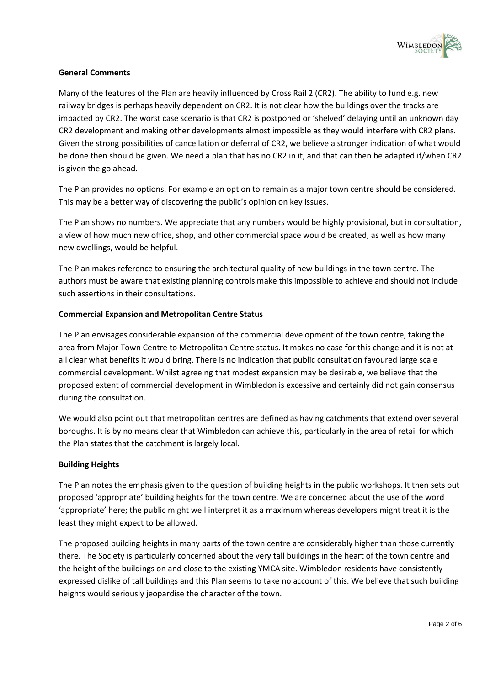

# **General Comments**

Many of the features of the Plan are heavily influenced by Cross Rail 2 (CR2). The ability to fund e.g. new railway bridges is perhaps heavily dependent on CR2. It is not clear how the buildings over the tracks are impacted by CR2. The worst case scenario is that CR2 is postponed or 'shelved' delaying until an unknown day CR2 development and making other developments almost impossible as they would interfere with CR2 plans. Given the strong possibilities of cancellation or deferral of CR2, we believe a stronger indication of what would be done then should be given. We need a plan that has no CR2 in it, and that can then be adapted if/when CR2 is given the go ahead.

The Plan provides no options. For example an option to remain as a major town centre should be considered. This may be a better way of discovering the public's opinion on key issues.

The Plan shows no numbers. We appreciate that any numbers would be highly provisional, but in consultation, a view of how much new office, shop, and other commercial space would be created, as well as how many new dwellings, would be helpful.

The Plan makes reference to ensuring the architectural quality of new buildings in the town centre. The authors must be aware that existing planning controls make this impossible to achieve and should not include such assertions in their consultations.

# **Commercial Expansion and Metropolitan Centre Status**

The Plan envisages considerable expansion of the commercial development of the town centre, taking the area from Major Town Centre to Metropolitan Centre status. It makes no case for this change and it is not at all clear what benefits it would bring. There is no indication that public consultation favoured large scale commercial development. Whilst agreeing that modest expansion may be desirable, we believe that the proposed extent of commercial development in Wimbledon is excessive and certainly did not gain consensus during the consultation.

We would also point out that metropolitan centres are defined as having catchments that extend over several boroughs. It is by no means clear that Wimbledon can achieve this, particularly in the area of retail for which the Plan states that the catchment is largely local.

### **Building Heights**

The Plan notes the emphasis given to the question of building heights in the public workshops. It then sets out proposed 'appropriate' building heights for the town centre. We are concerned about the use of the word 'appropriate' here; the public might well interpret it as a maximum whereas developers might treat it is the least they might expect to be allowed.

The proposed building heights in many parts of the town centre are considerably higher than those currently there. The Society is particularly concerned about the very tall buildings in the heart of the town centre and the height of the buildings on and close to the existing YMCA site. Wimbledon residents have consistently expressed dislike of tall buildings and this Plan seems to take no account of this. We believe that such building heights would seriously jeopardise the character of the town.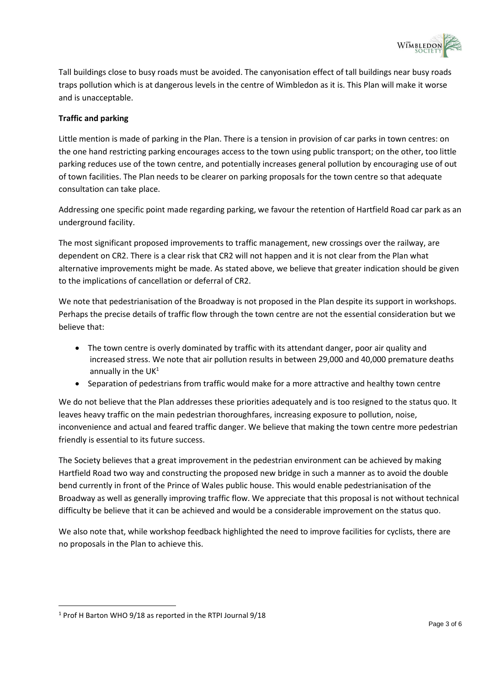

Tall buildings close to busy roads must be avoided. The canyonisation effect of tall buildings near busy roads traps pollution which is at dangerous levels in the centre of Wimbledon as it is. This Plan will make it worse and is unacceptable.

# **Traffic and parking**

Little mention is made of parking in the Plan. There is a tension in provision of car parks in town centres: on the one hand restricting parking encourages access to the town using public transport; on the other, too little parking reduces use of the town centre, and potentially increases general pollution by encouraging use of out of town facilities. The Plan needs to be clearer on parking proposals for the town centre so that adequate consultation can take place.

Addressing one specific point made regarding parking, we favour the retention of Hartfield Road car park as an underground facility.

The most significant proposed improvements to traffic management, new crossings over the railway, are dependent on CR2. There is a clear risk that CR2 will not happen and it is not clear from the Plan what alternative improvements might be made. As stated above, we believe that greater indication should be given to the implications of cancellation or deferral of CR2.

We note that pedestrianisation of the Broadway is not proposed in the Plan despite its support in workshops. Perhaps the precise details of traffic flow through the town centre are not the essential consideration but we believe that:

- The town centre is overly dominated by traffic with its attendant danger, poor air quality and increased stress. We note that air pollution results in between 29,000 and 40,000 premature deaths annually in the  $UK<sup>1</sup>$
- Separation of pedestrians from traffic would make for a more attractive and healthy town centre

We do not believe that the Plan addresses these priorities adequately and is too resigned to the status quo. It leaves heavy traffic on the main pedestrian thoroughfares, increasing exposure to pollution, noise, inconvenience and actual and feared traffic danger. We believe that making the town centre more pedestrian friendly is essential to its future success.

The Society believes that a great improvement in the pedestrian environment can be achieved by making Hartfield Road two way and constructing the proposed new bridge in such a manner as to avoid the double bend currently in front of the Prince of Wales public house. This would enable pedestrianisation of the Broadway as well as generally improving traffic flow. We appreciate that this proposal is not without technical difficulty be believe that it can be achieved and would be a considerable improvement on the status quo.

We also note that, while workshop feedback highlighted the need to improve facilities for cyclists, there are no proposals in the Plan to achieve this.

 $\overline{a}$ 

<sup>1</sup> Prof H Barton WHO 9/18 as reported in the RTPI Journal 9/18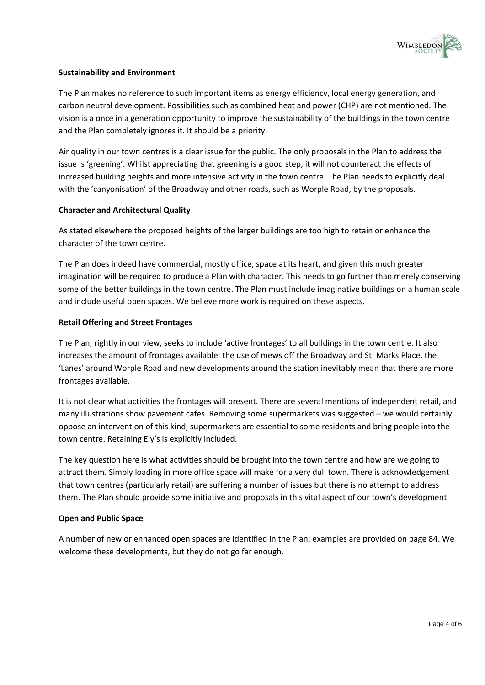

# **Sustainability and Environment**

The Plan makes no reference to such important items as energy efficiency, local energy generation, and carbon neutral development. Possibilities such as combined heat and power (CHP) are not mentioned. The vision is a once in a generation opportunity to improve the sustainability of the buildings in the town centre and the Plan completely ignores it. It should be a priority.

Air quality in our town centres is a clear issue for the public. The only proposals in the Plan to address the issue is 'greening'. Whilst appreciating that greening is a good step, it will not counteract the effects of increased building heights and more intensive activity in the town centre. The Plan needs to explicitly deal with the 'canyonisation' of the Broadway and other roads, such as Worple Road, by the proposals.

### **Character and Architectural Quality**

As stated elsewhere the proposed heights of the larger buildings are too high to retain or enhance the character of the town centre.

The Plan does indeed have commercial, mostly office, space at its heart, and given this much greater imagination will be required to produce a Plan with character. This needs to go further than merely conserving some of the better buildings in the town centre. The Plan must include imaginative buildings on a human scale and include useful open spaces. We believe more work is required on these aspects.

# **Retail Offering and Street Frontages**

The Plan, rightly in our view, seeks to include 'active frontages' to all buildings in the town centre. It also increases the amount of frontages available: the use of mews off the Broadway and St. Marks Place, the 'Lanes' around Worple Road and new developments around the station inevitably mean that there are more frontages available.

It is not clear what activities the frontages will present. There are several mentions of independent retail, and many illustrations show pavement cafes. Removing some supermarkets was suggested – we would certainly oppose an intervention of this kind, supermarkets are essential to some residents and bring people into the town centre. Retaining Ely's is explicitly included.

The key question here is what activities should be brought into the town centre and how are we going to attract them. Simply loading in more office space will make for a very dull town. There is acknowledgement that town centres (particularly retail) are suffering a number of issues but there is no attempt to address them. The Plan should provide some initiative and proposals in this vital aspect of our town's development.

### **Open and Public Space**

A number of new or enhanced open spaces are identified in the Plan; examples are provided on page 84. We welcome these developments, but they do not go far enough.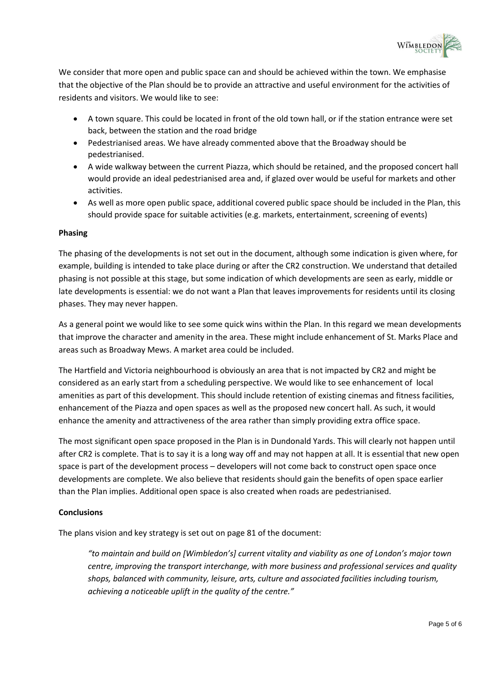

We consider that more open and public space can and should be achieved within the town. We emphasise that the objective of the Plan should be to provide an attractive and useful environment for the activities of residents and visitors. We would like to see:

- A town square. This could be located in front of the old town hall, or if the station entrance were set back, between the station and the road bridge
- Pedestrianised areas. We have already commented above that the Broadway should be pedestrianised.
- A wide walkway between the current Piazza, which should be retained, and the proposed concert hall would provide an ideal pedestrianised area and, if glazed over would be useful for markets and other activities.
- As well as more open public space, additional covered public space should be included in the Plan, this should provide space for suitable activities (e.g. markets, entertainment, screening of events)

### **Phasing**

The phasing of the developments is not set out in the document, although some indication is given where, for example, building is intended to take place during or after the CR2 construction. We understand that detailed phasing is not possible at this stage, but some indication of which developments are seen as early, middle or late developments is essential: we do not want a Plan that leaves improvements for residents until its closing phases. They may never happen.

As a general point we would like to see some quick wins within the Plan. In this regard we mean developments that improve the character and amenity in the area. These might include enhancement of St. Marks Place and areas such as Broadway Mews. A market area could be included.

The Hartfield and Victoria neighbourhood is obviously an area that is not impacted by CR2 and might be considered as an early start from a scheduling perspective. We would like to see enhancement of local amenities as part of this development. This should include retention of existing cinemas and fitness facilities, enhancement of the Piazza and open spaces as well as the proposed new concert hall. As such, it would enhance the amenity and attractiveness of the area rather than simply providing extra office space.

The most significant open space proposed in the Plan is in Dundonald Yards. This will clearly not happen until after CR2 is complete. That is to say it is a long way off and may not happen at all. It is essential that new open space is part of the development process – developers will not come back to construct open space once developments are complete. We also believe that residents should gain the benefits of open space earlier than the Plan implies. Additional open space is also created when roads are pedestrianised.

# **Conclusions**

The plans vision and key strategy is set out on page 81 of the document:

*"to maintain and build on [Wimbledon's] current vitality and viability as one of London's major town centre, improving the transport interchange, with more business and professional services and quality shops, balanced with community, leisure, arts, culture and associated facilities including tourism, achieving a noticeable uplift in the quality of the centre."*